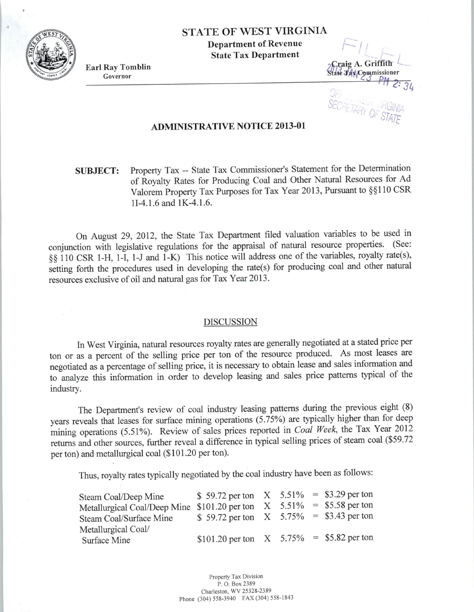**STATE OF WEST VIRGINIA Department of Revenue State Tax Department** 

**Earl** Ray **Tomblin**  Governor

----Craig A. Griffith tate Jax Commissioner RETARY SE,.

## **ADMINISTRATIVE NOTICE 2013-01**

## **SUBJECT:** Property Tax -- State Tax Commissioner's Statement for the Determination of Royalty Rates for Producing Coal and Other Natural Resources for Ad Valorem Property Tax Purposes for Tax Year 2013, Pursuant to §§110 CSR ll-4.1.6 and lK-4.1.6.

On August 29, 2012, the State Tax Department filed valuation variables to be used in conjunction with legislative regulations for the appraisal of natural resource properties. (See: §§ 110 CSR 1-H, **1-1,** 1-J and 1-K) This notice will address one of the variables, royalty rate(s), setting forth the procedures used in developing the rate(s) for producing coal and other natural resources exclusive of oil and natural gas for Tax Year 2013.

## DISCUSSION

In West Virginia, natural resources royalty rates are generally negotiated at a stated price per ton or as a percent of the selling price per ton of the resource produced. As most leases are negotiated as a percentage of selling price, it is necessary to obtain lease and sales information and to analyze this information in order to develop leasing and sales price patterns typical of the industry.

The Department's review of coal industry leasing patterns during the previous eight (8) years reveals that leases for surface mining operations (5.75%) are typically higher than for deep mining operations (5.51%). Review of sales prices reported in *Coal Week*, the Tax Year 2012 returns and other sources, further reveal a difference in typical selling prices of steam coal (\$59.<sup>72</sup> per ton) and metallurgical coal (\$101.20 per ton).

Thus, royalty rates typically negotiated by the coal industry have been as follows:

| Steam Coal/Deep Mine                                                      | \$ 59.72 per ton $X = 5.51\% = 3.29$ per ton |  |  |
|---------------------------------------------------------------------------|----------------------------------------------|--|--|
| Metallurgical Coal/Deep Mine $$101.20$ per ton $X$ 5.51% = \$5.58 per ton |                                              |  |  |
| Steam Coal/Surface Mine                                                   | \$ 59.72 per ton $X$ 5.75% = \$3.43 per ton  |  |  |
| Metallurgical Coal/                                                       |                                              |  |  |
| Surface Mine                                                              | \$101.20 per ton $X = 5.75\% = 5.82$ per ton |  |  |

Property Tax Division P. O. Box 2389 Charleston, WV 25328-2389 Phone (304) 558-3940 FAX (304) 558-1843